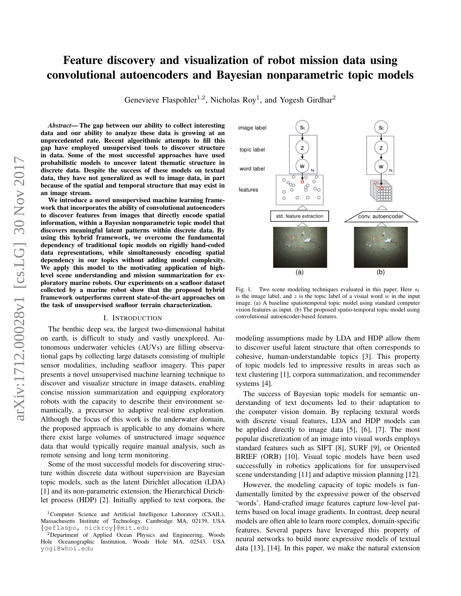# Feature discovery and visualization of robot mission data using convolutional autoencoders and Bayesian nonparametric topic models

Genevieve Flaspohler<sup>1,2</sup>, Nicholas Roy<sup>1</sup>, and Yogesh Girdhar<sup>2</sup>

*Abstract*— The gap between our ability to collect interesting data and our ability to analyze these data is growing at an unprecedented rate. Recent algorithmic attempts to fill this gap have employed unsupervised tools to discover structure in data. Some of the most successful approaches have used probabilistic models to uncover latent thematic structure in discrete data. Despite the success of these models on textual data, they have not generalized as well to image data, in part because of the spatial and temporal structure that may exist in an image stream.

We introduce a novel unsupervised machine learning framework that incorporates the ability of convolutional autoencoders to discover features from images that directly encode spatial information, within a Bayesian nonparametric topic model that discovers meaningful latent patterns within discrete data. By using this hybrid framework, we overcome the fundamental dependency of traditional topic models on rigidly hand-coded data representations, while simultaneously encoding spatial dependency in our topics without adding model complexity. We apply this model to the motivating application of highlevel scene understanding and mission summarization for exploratory marine robots. Our experiments on a seafloor dataset collected by a marine robot show that the proposed hybrid framework outperforms current state-of-the-art approaches on the task of unsupervised seafloor terrain characterization.

### I. INTRODUCTION

The benthic deep sea, the largest two-dimensional habitat on earth, is difficult to study and vastly unexplored. Autonomous underwater vehicles (AUVs) are filling observational gaps by collecting large datasets consisting of multiple sensor modalities, including seafloor imagery. This paper presents a novel unsupervised machine learning technique to discover and visualize structure in image datasets, enabling concise mission summarization and equipping exploratory robots with the capacity to describe their environment semantically, a precursor to adaptive real-time exploration. Although the focus of this work is the underwater domain, the proposed approach is applicable to any domains where there exist large volumes of unstructured image sequence data that would typically require manual analysis, such as remote sensing and long term monitoring.

Some of the most successful models for discovering structure within discrete data without supervision are Bayesian topic models, such as the latent Dirichlet allocation (LDA) [1] and its non-parametric extension, the Hierarchical Dirichlet process (HDP) [2]. Initially applied to text corpora, the



<span id="page-0-0"></span>Fig. 1. Two scene modeling techniques evaluated in this paper. Here  $s_t$ is the image label, and  $z$  is the topic label of a visual word  $w$  in the input image. (a) A baseline spatiotemporal topic model using standard computer vision features as input. (b) The proposed spatio-temporal topic model using convolutional autoencoder-based features.

modeling assumptions made by LDA and HDP allow them to discover useful latent structure that often corresponds to cohesive, human-understandable topics [3]. This property of topic models led to impressive results in areas such as text clustering [1], corpora summarization, and recommender systems [4].

The success of Bayesian topic models for semantic understanding of text documents led to their adaptation to the computer vision domain. By replacing textural words with discrete visual features, LDA and HDP models can be applied directly to image data [5], [6], [7]. The most popular discretization of an image into visual words employs standard features such as SIFT [8], SURF [9], or Oriented BRIEF (ORB) [10]. Visual topic models have been used successfully in robotics applications for for unsupervised scene understanding [11] and adaptive mission planning [12].

However, the modeling capacity of topic models is fundamentally limited by the expressive power of the observed 'words'. Hand-crafted image features capture low-level patterns based on local image gradients. In contrast, deep neural models are often able to learn more complex, domain-specific features. Several papers have leveraged this property of neural networks to build more expressive models of textual data [13], [14]. In this paper, we make the natural extension

<sup>1</sup>Computer Science and Artificial Intelligence Laboratory (CSAIL), Massachusetts Institute of Technology, Cambridge MA, 02139, USA {geflaspo, nickroy}@mit.edu

<sup>2</sup>Department of Applied Ocean Physics and Engineering, Woods Hole Oceanographic Institution, Woods Hole MA, 02543, USA yogi@whoi.edu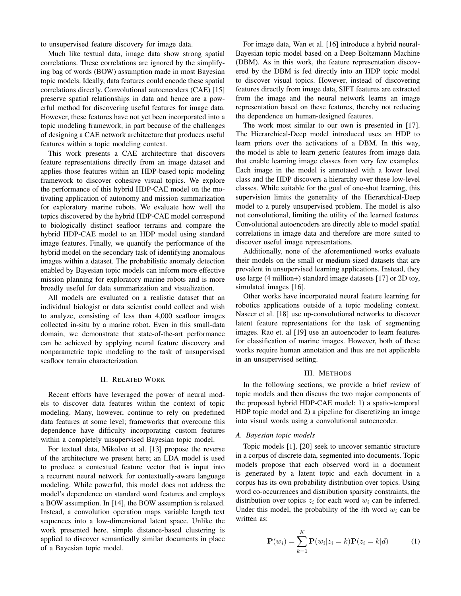to unsupervised feature discovery for image data.

Much like textual data, image data show strong spatial correlations. These correlations are ignored by the simplifying bag of words (BOW) assumption made in most Bayesian topic models. Ideally, data features could encode these spatial correlations directly. Convolutional autoencoders (CAE) [15] preserve spatial relationships in data and hence are a powerful method for discovering useful features for image data. However, these features have not yet been incorporated into a topic modeling framework, in part because of the challenges of designing a CAE network architecture that produces useful features within a topic modeling context.

This work presents a CAE architecture that discovers feature representations directly from an image dataset and applies those features within an HDP-based topic modeling framework to discover cohesive visual topics. We explore the performance of this hybrid HDP-CAE model on the motivating application of autonomy and mission summarization for exploratory marine robots. We evaluate how well the topics discovered by the hybrid HDP-CAE model correspond to biologically distinct seafloor terrains and compare the hybrid HDP-CAE model to an HDP model using standard image features. Finally, we quantify the performance of the hybrid model on the secondary task of identifying anomalous images within a dataset. The probabilistic anomaly detection enabled by Bayesian topic models can inform more effective mission planning for exploratory marine robots and is more broadly useful for data summarization and visualization.

All models are evaluated on a realistic dataset that an individual biologist or data scientist could collect and wish to analyze, consisting of less than 4,000 seafloor images collected in-situ by a marine robot. Even in this small-data domain, we demonstrate that state-of-the-art performance can be achieved by applying neural feature discovery and nonparametric topic modeling to the task of unsupervised seafloor terrain characterization.

## II. RELATED WORK

Recent efforts have leveraged the power of neural models to discover data features within the context of topic modeling. Many, however, continue to rely on predefined data features at some level; frameworks that overcome this dependence have difficulty incorporating custom features within a completely unsupervised Bayesian topic model.

For textual data, Mikolvo et al. [13] propose the reverse of the architecture we present here; an LDA model is used to produce a contextual feature vector that is input into a recurrent neural network for contextually-aware language modeling. While powerful, this model does not address the model's dependence on standard word features and employs a BOW assumption. In [14], the BOW assumption is relaxed. Instead, a convolution operation maps variable length text sequences into a low-dimensional latent space. Unlike the work presented here, simple distance-based clustering is applied to discover semantically similar documents in place of a Bayesian topic model.

For image data, Wan et al. [16] introduce a hybrid neural-Bayesian topic model based on a Deep Boltzmann Machine (DBM). As in this work, the feature representation discovered by the DBM is fed directly into an HDP topic model to discover visual topics. However, instead of discovering features directly from image data, SIFT features are extracted from the image and the neural network learns an image representation based on these features, thereby not reducing the dependence on human-designed features.

The work most similar to our own is presented in [17]. The Hierarchical-Deep model introduced uses an HDP to learn priors over the activations of a DBM. In this way, the model is able to learn generic features from image data that enable learning image classes from very few examples. Each image in the model is annotated with a lower level class and the HDP discovers a hierarchy over these low-level classes. While suitable for the goal of one-shot learning, this supervision limits the generality of the Hierarchical-Deep model to a purely unsupervised problem. The model is also not convolutional, limiting the utility of the learned features. Convolutional autoencoders are directly able to model spatial correlations in image data and therefore are more suited to discover useful image representations.

Additionally, none of the aforementioned works evaluate their models on the small or medium-sized datasets that are prevalent in unsupervised learning applications. Instead, they use large (4 million+) standard image datasets [17] or 2D toy, simulated images [16].

Other works have incorporated neural feature learning for robotics applications outside of a topic modeling context. Naseer et al. [18] use up-convolutional networks to discover latent feature representations for the task of segmenting images. Rao et. al [19] use an autoencoder to learn features for classification of marine images. However, both of these works require human annotation and thus are not applicable in an unsupervised setting.

## III. METHODS

<span id="page-1-0"></span>In the following sections, we provide a brief review of topic models and then discuss the two major components of the proposed hybrid HDP-CAE model: 1) a spatio-temporal HDP topic model and 2) a pipeline for discretizing an image into visual words using a convolutional autoencoder.

# *A. Bayesian topic models*

Topic models [1], [20] seek to uncover semantic structure in a corpus of discrete data, segmented into documents. Topic models propose that each observed word in a document is generated by a latent topic and each document in a corpus has its own probability distribution over topics. Using word co-occurrences and distribution sparsity constraints, the distribution over topics  $z_i$  for each word  $w_i$  can be inferred. Under this model, the probability of the *i*th word  $w_i$  can be written as:

$$
\mathbf{P}(w_i) = \sum_{k=1}^{K} \mathbf{P}(w_i | z_i = k) \mathbf{P}(z_i = k | d)
$$
 (1)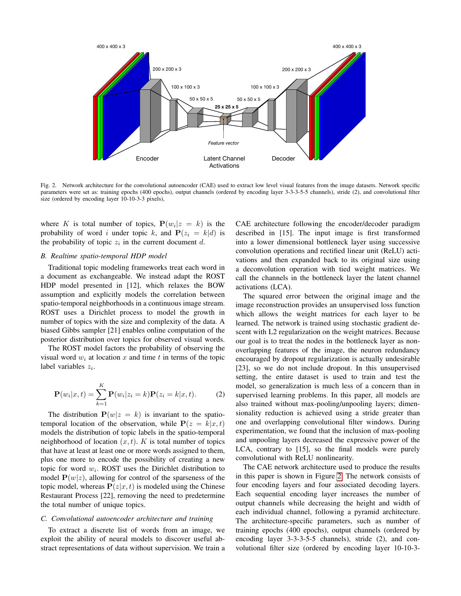

<span id="page-2-0"></span>Fig. 2. Network architecture for the convolutional autoencoder (CAE) used to extract low level visual features from the image datasets. Network specific parameters were set as: training epochs (400 epochs), output channels (ordered by encoding layer 3-3-3-5-5 channels), stride (2), and convolutional filter size (ordered by encoding layer 10-10-3-3 pixels),

where K is total number of topics,  $P(w_i|z = k)$  is the probability of word i under topic k, and  $P(z_i = k|d)$  is the probability of topic  $z_i$  in the current document d.

# <span id="page-2-2"></span>*B. Realtime spatio-temporal HDP model*

Traditional topic modeling frameworks treat each word in a document as exchangeable. We instead adapt the ROST HDP model presented in [12], which relaxes the BOW assumption and explicitly models the correlation between spatio-temporal neighborhoods in a continuous image stream. ROST uses a Dirichlet process to model the growth in number of topics with the size and complexity of the data. A biased Gibbs sampler [21] enables online computation of the posterior distribution over topics for observed visual words.

The ROST model factors the probability of observing the visual word  $w_i$  at location x and time t in terms of the topic label variables  $z_i$ .

$$
\mathbf{P}(w_i|x,t) = \sum_{k=1}^{K} \mathbf{P}(w_i|z_i = k)\mathbf{P}(z_i = k|x,t).
$$
 (2)

The distribution  $P(w|z = k)$  is invariant to the spatiotemporal location of the observation, while  $P(z = k|x, t)$ models the distribution of topic labels in the spatio-temporal neighborhood of location  $(x, t)$ . K is total number of topics that have at least at least one or more words assigned to them, plus one more to encode the possibility of creating a new topic for word  $w_i$ . ROST uses the Dirichlet distribution to model  $P(w|z)$ , allowing for control of the sparseness of the topic model, whereas  $P(z|x, t)$  is modeled using the Chinese Restaurant Process [22], removing the need to predetermine the total number of unique topics.

## <span id="page-2-1"></span>*C. Convolutional autoencoder architecture and training*

To extract a discrete list of words from an image, we exploit the ability of neural models to discover useful abstract representations of data without supervision. We train a CAE architecture following the encoder/decoder paradigm described in [15]. The input image is first transformed into a lower dimensional bottleneck layer using successive convolution operations and rectified linear unit (ReLU) activations and then expanded back to its original size using a deconvolution operation with tied weight matrices. We call the channels in the bottleneck layer the latent channel activations (LCA).

The squared error between the original image and the image reconstruction provides an unsupervised loss function which allows the weight matrices for each layer to be learned. The network is trained using stochastic gradient descent with L2 regularization on the weight matrices. Because our goal is to treat the nodes in the bottleneck layer as nonoverlapping features of the image, the neuron redundancy encouraged by dropout regularization is actually undesirable [23], so we do not include dropout. In this unsupervised setting, the entire dataset is used to train and test the model, so generalization is much less of a concern than in supervised learning problems. In this paper, all models are also trained without max-pooling/unpooling layers; dimensionality reduction is achieved using a stride greater than one and overlapping convolutional filter windows. During experimentation, we found that the inclusion of max-pooling and unpooling layers decreased the expressive power of the LCA, contrary to [15], so the final models were purely convolutional with ReLU nonlinearity.

The CAE network architecture used to produce the results in this paper is shown in Figure [2.](#page-2-0) The network consists of four encoding layers and four associated decoding layers. Each sequential encoding layer increases the number of output channels while decreasing the height and width of each individual channel, following a pyramid architecture. The architecture-specific parameters, such as number of training epochs (400 epochs), output channels (ordered by encoding layer 3-3-3-5-5 channels), stride (2), and convolutional filter size (ordered by encoding layer 10-10-3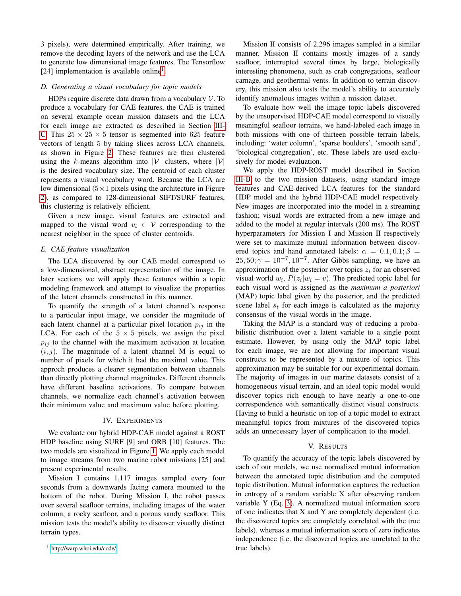3 pixels), were determined empirically. After training, we remove the decoding layers of the network and use the LCA to generate low dimensional image features. The Tensorflow [24] implementation is available online<sup>[1](#page-3-0)</sup>.

#### *D. Generating a visual vocabulary for topic models*

HDPs require discrete data drawn from a vocabulary  $V$ . To produce a vocabulary for CAE features, the CAE is trained on several example ocean mission datasets and the LCA for each image are extracted as described in Section [III-](#page-2-1)[C.](#page-2-1) This  $25 \times 25 \times 5$  tensor is segmented into 625 feature vectors of length 5 by taking slices across LCA channels, as shown in Figure [2.](#page-2-0) These features are then clustered using the k-means algorithm into  $|V|$  clusters, where  $|V|$ is the desired vocabulary size. The centroid of each cluster represents a visual vocabulary word. Because the LCA are low dimensional  $(5 \times 1)$  pixels using the architecture in Figure [2\)](#page-2-0), as compared to 128-dimensional SIFT/SURF features, this clustering is relatively efficient.

Given a new image, visual features are extracted and mapped to the visual word  $v_i \in V$  corresponding to the nearest neighbor in the space of cluster centroids.

### *E. CAE feature visualization*

The LCA discovered by our CAE model correspond to a low-dimensional, abstract representation of the image. In later sections we will apply these features within a topic modeling framework and attempt to visualize the properties of the latent channels constructed in this manner.

To quantify the strength of a latent channel's response to a particular input image, we consider the magnitude of each latent channel at a particular pixel location  $p_{ij}$  in the LCA. For each of the  $5 \times 5$  pixels, we assign the pixel  $p_{ij}$  to the channel with the maximum activation at location  $(i, j)$ . The magnitude of a latent channel M is equal to number of pixels for which it had the maximal value. This approch produces a clearer segmentation between channels than directly plotting channel magnitudes. Different channels have different baseline activations. To compare between channels, we normalize each channel's activation between their minimum value and maximum value before plotting.

# IV. EXPERIMENTS

We evaluate our hybrid HDP-CAE model against a ROST HDP baseline using SURF [9] and ORB [10] features. The two models are visualized in Figure [1.](#page-0-0) We apply each model to image streams from two marine robot missions [25] and present experimental results.

Mission I contains 1,117 images sampled every four seconds from a downwards facing camera mounted to the bottom of the robot. During Mission I, the robot passes over several seafloor terrains, including images of the water column, a rocky seafloor, and a porous sandy seafloor. This mission tests the model's ability to discover visually distinct terrain types.

Mission II consists of 2,296 images sampled in a similar manner. Mission II contains mostly images of a sandy seafloor, interrupted several times by large, biologically interesting phenomena, such as crab congregations, seafloor carnage, and geothermal vents. In addition to terrain discovery, this mission also tests the model's ability to accurately identify anomalous images within a mission dataset.

To evaluate how well the image topic labels discovered by the unsupervised HDP-CAE model correspond to visually meaningful seafloor terrains, we hand-labeled each image in both missions with one of thirteen possible terrain labels, including: 'water column', 'sparse boulders', 'smooth sand', 'biological congregation', etc. These labels are used exclusively for model evaluation.

We apply the HDP-ROST model described in Section [III-B](#page-2-2) to the two mission datasets, using standard image features and CAE-derived LCA features for the standard HDP model and the hybrid HDP-CAE model respectively. New images are incorporated into the model in a streaming fashion; visual words are extracted from a new image and added to the model at regular intervals (200 ms). The ROST hyperparameters for Mission I and Mission II respectively were set to maximize mutual information between discovered topics and hand annotated labels:  $\alpha = 0.1, 0.1; \beta =$  $25, 50; \gamma = 10^{-7}, 10^{-7}$ . After Gibbs sampling, we have an approximation of the posterior over topics  $z_i$  for an observed visual world  $w_i$ ,  $P(z_i|w_i = v)$ . The predicted topic label for each visual word is assigned as the *maximum a posteriori* (MAP) topic label given by the posterior, and the predicted scene label  $s_t$  for each image is calculated as the majority consensus of the visual words in the image.

Taking the MAP is a standard way of reducing a probabilistic distribution over a latent variable to a single point estimate. However, by using only the MAP topic label for each image, we are not allowing for important visual constructs to be represented by a mixture of topics. This approximation may be suitable for our experimental domain. The majority of images in our marine datasets consist of a homogeneous visual terrain, and an ideal topic model would discover topics rich enough to have nearly a one-to-one correspondence with semantically distinct visual constructs. Having to build a heuristic on top of a topic model to extract meaningful topics from mixtures of the discovered topics adds an unnecessary layer of complication to the model.

#### V. RESULTS

To quantify the accuracy of the topic labels discovered by each of our models, we use normalized mutual information between the annotated topic distribution and the computed topic distribution. Mutual information captures the reduction in entropy of a random variable X after observing random variable Y (Eq. [3\)](#page-4-0). A normalized mutual information score of one indicates that X and Y are completely dependent (i.e. the discovered topics are completely correlated with the true labels), whereas a mutual information score of zero indicates independence (i.e. the discovered topics are unrelated to the true labels).

<span id="page-3-0"></span><sup>1</sup> <http://warp.whoi.edu/code/>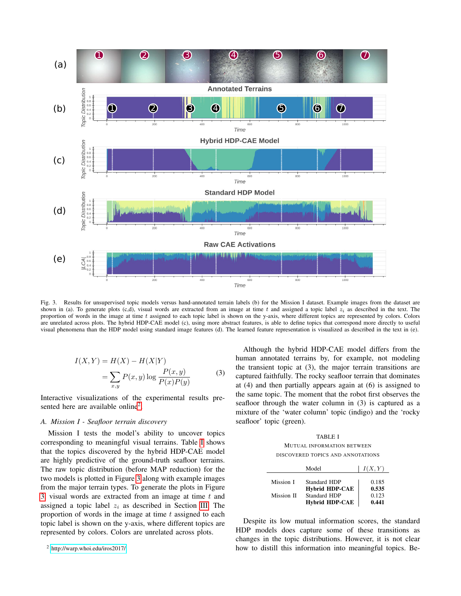

<span id="page-4-3"></span>Fig. 3. Results for unsupervised topic models versus hand-annotated terrain labels (b) for the Mission I dataset. Example images from the dataset are shown in (a). To generate plots (c,d), visual words are extracted from an image at time t and assigned a topic label  $z_i$  as described in the text. The proportion of words in the image at time t assigned to each topic label is shown on the y-axis, where different topics are represented by colors. Colors are unrelated across plots. The hybrid HDP-CAE model (c), using more abstract features, is able to define topics that correspond more directly to useful visual phenomena than the HDP model using standard image features (d). The learned feature representation is visualized as described in the text in (e).

$$
I(X,Y) = H(X) - H(X|Y)
$$
  
= 
$$
\sum_{x,y} P(x,y) \log \frac{P(x,y)}{P(x)P(y)}
$$
 (3)

<span id="page-4-0"></span>Interactive visualizations of the experimental results pre-sented here are available online<sup>[2](#page-4-1)</sup>.

# *A. Mission I - Seafloor terrain discovery*

Mission I tests the model's ability to uncover topics corresponding to meaningful visual terrains. Table [I](#page-4-2) shows that the topics discovered by the hybrid HDP-CAE model are highly predictive of the ground-truth seafloor terrains. The raw topic distribution (before MAP reduction) for the two models is plotted in Figure [3](#page-4-3) along with example images from the major terrain types. To generate the plots in Figure [3,](#page-4-3) visual words are extracted from an image at time  $t$  and assigned a topic label  $z_i$  as described in Section [III.](#page-1-0) The proportion of words in the image at time  $t$  assigned to each topic label is shown on the y-axis, where different topics are represented by colors. Colors are unrelated across plots.

Although the hybrid HDP-CAE model differs from the human annotated terrains by, for example, not modeling the transient topic at (3), the major terrain transitions are captured faithfully. The rocky seafloor terrain that dominates at (4) and then partially appears again at (6) is assigned to the same topic. The moment that the robot first observes the seafloor through the water column in (3) is captured as a mixture of the 'water column' topic (indigo) and the 'rocky seafloor' topic (green).

TABLE I MUTUAL INFORMATION BETWEEN DISCOVERED TOPICS AND ANNOTATIONS

<span id="page-4-2"></span>

|            | Model                 | I(X, Y) |
|------------|-----------------------|---------|
| Mission I  | Standard HDP          | 0.185   |
|            | <b>Hybrid HDP-CAE</b> | 0.535   |
| Mission II | <b>Standard HDP</b>   | 0.123   |
|            | <b>Hybrid HDP-CAE</b> | 0.441   |

Despite its low mutual information scores, the standard HDP models does capture some of these transitions as changes in the topic distributions. However, it is not clear how to distill this information into meaningful topics. Be-

<span id="page-4-1"></span><sup>2</sup> <http://warp.whoi.edu/iros2017/>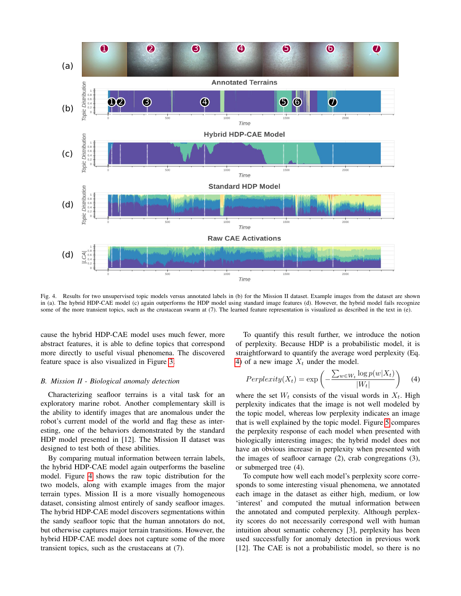

<span id="page-5-0"></span>Fig. 4. Results for two unsupervised topic models versus annotated labels in (b) for the Mission II dataset. Example images from the dataset are shown in (a). The hybrid HDP-CAE model (c) again outperforms the HDP model using standard image features (d). However, the hybrid model fails recognize some of the more transient topics, such as the crustacean swarm at (7). The learned feature representation is visualized as described in the text in (e).

cause the hybrid HDP-CAE model uses much fewer, more abstract features, it is able to define topics that correspond more directly to useful visual phenomena. The discovered feature space is also visualized in Figure [3.](#page-4-3)

## *B. Mission II - Biological anomaly detection*

Characterizing seafloor terrains is a vital task for an exploratory marine robot. Another complementary skill is the ability to identify images that are anomalous under the robot's current model of the world and flag these as interesting, one of the behaviors demonstrated by the standard HDP model presented in [12]. The Mission II dataset was designed to test both of these abilities.

By comparing mutual information between terrain labels, the hybrid HDP-CAE model again outperforms the baseline model. Figure [4](#page-5-0) shows the raw topic distribution for the two models, along with example images from the major terrain types. Mission II is a more visually homogeneous dataset, consisting almost entirely of sandy seafloor images. The hybrid HDP-CAE model discovers segmentations within the sandy seafloor topic that the human annotators do not, but otherwise captures major terrain transitions. However, the hybrid HDP-CAE model does not capture some of the more transient topics, such as the crustaceans at (7).

To quantify this result further, we introduce the notion of perplexity. Because HDP is a probabilistic model, it is straightforward to quantify the average word perplexity (Eq. [4\)](#page-5-1) of a new image  $X_t$  under the model.

<span id="page-5-1"></span>
$$
Perplexity(X_t) = \exp\left(-\frac{\sum_{w \in W_t} \log p(w|X_t)}{|W_t|}\right) \tag{4}
$$

where the set  $W_t$  consists of the visual words in  $X_t$ . High perplexity indicates that the image is not well modeled by the topic model, whereas low perplexity indicates an image that is well explained by the topic model. Figure [5](#page-6-0) compares the perplexity response of each model when presented with biologically interesting images; the hybrid model does not have an obvious increase in perplexity when presented with the images of seafloor carnage (2), crab congregations (3), or submerged tree (4).

To compute how well each model's perplexity score corresponds to some interesting visual phenomena, we annotated each image in the dataset as either high, medium, or low 'interest' and computed the mutual information between the annotated and computed perplexity. Although perplexity scores do not necessarily correspond well with human intuition about semantic coherency [3], perplexity has been used successfully for anomaly detection in previous work [12]. The CAE is not a probabilistic model, so there is no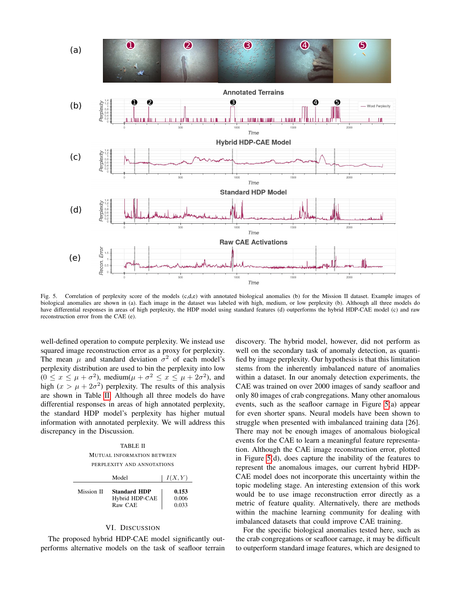

<span id="page-6-0"></span>Fig. 5. Correlation of perplexity score of the models (c,d,e) with annotated biological anomalies (b) for the Mission II dataset. Example images of biological anomalies are shown in (a). Each image in the dataset was labeled with high, medium, or low perplexity (b). Although all three models do have differential responses in areas of high perplexity, the HDP model using standard features (d) outperforms the hybrid HDP-CAE model (c) and raw reconstruction error from the CAE (e).

well-defined operation to compute perplexity. We instead use squared image reconstruction error as a proxy for perplexity. The mean  $\mu$  and standard deviation  $\sigma^2$  of each model's perplexity distribution are used to bin the perplexity into low  $(0 \le x \le \mu + \sigma^2)$ , medium $(\mu + \sigma^2 \le x \le \mu + 2\sigma^2)$ , and high  $(x > \mu + 2\sigma^2)$  perplexity. The results of this analysis are shown in Table [II.](#page-6-1) Although all three models do have differential responses in areas of high annotated perplexity, the standard HDP model's perplexity has higher mutual information with annotated perplexity. We will address this discrepancy in the Discussion.

TABLE II MUTUAL INFORMATION BETWEEN PERPLEXITY AND ANNOTATIONS

<span id="page-6-1"></span>

|            | Model                                            | I(X, Y)                 |
|------------|--------------------------------------------------|-------------------------|
| Mission II | <b>Standard HDP</b><br>Hybrid HDP-CAE<br>Raw CAE | 0.153<br>0.006<br>0.033 |

# VI. DISCUSSION

The proposed hybrid HDP-CAE model significantly outperforms alternative models on the task of seafloor terrain discovery. The hybrid model, however, did not perform as well on the secondary task of anomaly detection, as quantified by image perplexity. Our hypothesis is that this limitation stems from the inherently imbalanced nature of anomalies within a dataset. In our anomaly detection experiments, the CAE was trained on over 2000 images of sandy seafloor and only 80 images of crab congregations. Many other anomalous events, such as the seafloor carnage in Figure [5\(](#page-6-0)a) appear for even shorter spans. Neural models have been shown to struggle when presented with imbalanced training data [26]. There may not be enough images of anomalous biological events for the CAE to learn a meaningful feature representation. Although the CAE image reconstruction error, plotted in Figure [5\(](#page-6-0)d), does capture the inability of the features to represent the anomalous images, our current hybrid HDP-CAE model does not incorporate this uncertainty within the topic modeling stage. An interesting extension of this work would be to use image reconstruction error directly as a metric of feature quality. Alternatively, there are methods within the machine learning community for dealing with imbalanced datasets that could improve CAE training.

For the specific biological anomalies tested here, such as the crab congregations or seafloor carnage, it may be difficult to outperform standard image features, which are designed to